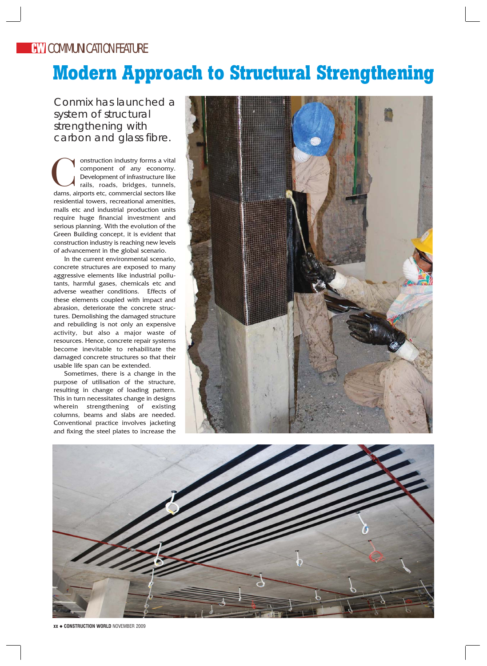## **Modern Approach to Structural Strengthening**

Conmix has launched a system of structural strengthening with carbon and glass fibre.

onstruction industry forms a vital component of any economy. Development of infrastructure like rails, roads, bridges, tunnels, onstruction industry forms a vital<br>component of any economy.<br>Development of infrastructure like<br>rails, roads, bridges, tunnels,<br>dams, airports etc, commercial sectors like residential towers, recreational amenities, malls etc and industrial production units require huge financial investment and serious planning. With the evolution of the Green Building concept, it is evident that construction industry is reaching new levels of advancement in the global scenario.

In the current environmental scenario, concrete structures are exposed to many aggressive elements like industrial pollutants, harmful gases, chemicals etc and adverse weather conditions. Effects of these elements coupled with impact and abrasion, deteriorate the concrete structures. Demolishing the damaged structure and rebuilding is not only an expensive activity, but also a major waste of resources. Hence, concrete repair systems become inevitable to rehabilitate the damaged concrete structures so that their usable life span can be extended.

Sometimes, there is a change in the purpose of utilisation of the structure, resulting in change of loading pattern. This in turn necessitates change in designs wherein strengthening of existing columns, beams and slabs are needed. Conventional practice involves jacketing and fixing the steel plates to increase the





**xx** ◆ **CONSTRUCTION WORLD** NOVEMBER 2009